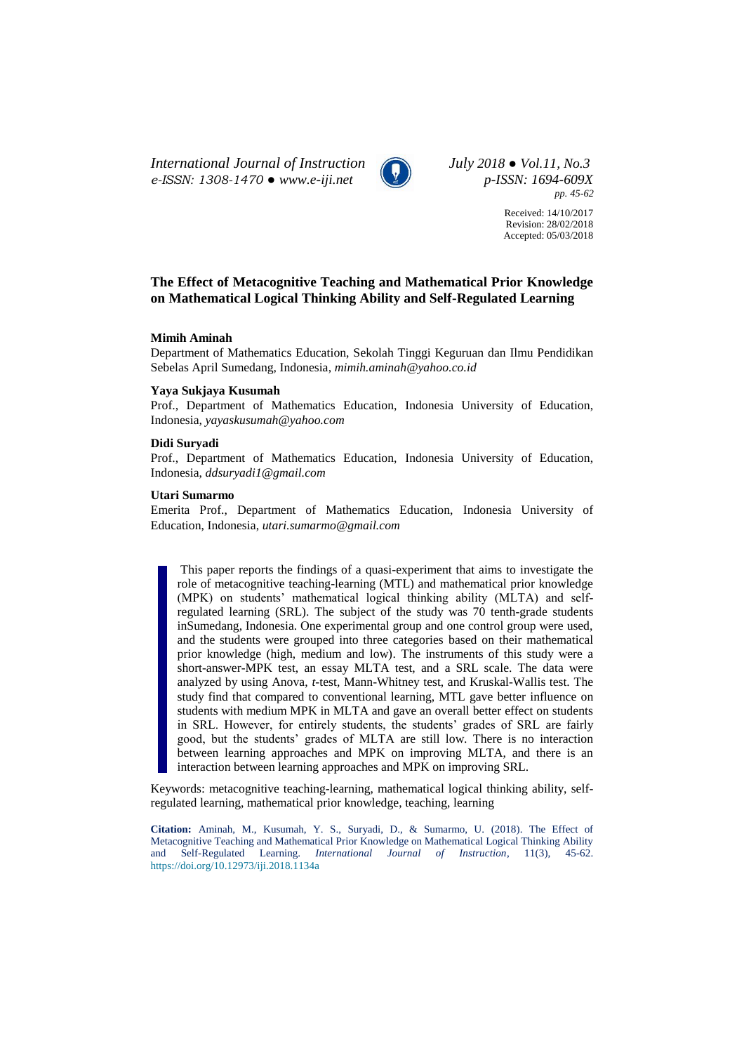*International Journal of Instruction July 2018 ● Vol.11, No.3 e-ISSN: 1308-1470 ● [www.e-iji.net](http://www.e-iji.net/) p-ISSN: 1694-609X*



*pp. 45-62*

Received: 14/10/2017 Revision: 28/02/2018 Accepted: 05/03/2018

# **The Effect of Metacognitive Teaching and Mathematical Prior Knowledge on Mathematical Logical Thinking Ability and Self-Regulated Learning**

### **Mimih Aminah**

Department of Mathematics Education, Sekolah Tinggi Keguruan dan Ilmu Pendidikan Sebelas April Sumedang, Indonesia, *mimih.aminah@yahoo.co.id*

### **Yaya Sukjaya Kusumah**

Prof., Department of Mathematics Education, Indonesia University of Education, Indonesia*, yayaskusumah@yahoo.com*

### **Didi Suryadi**

Prof., Department of Mathematics Education, Indonesia University of Education, Indonesia, *ddsuryadi1@gmail.com*

### **Utari Sumarmo**

Emerita Prof., Department of Mathematics Education, Indonesia University of Education, Indonesia, *utari.sumarmo@gmail.com*

This paper reports the findings of a quasi-experiment that aims to investigate the role of metacognitive teaching-learning (MTL) and mathematical prior knowledge (MPK) on students' mathematical logical thinking ability (MLTA) and selfregulated learning (SRL). The subject of the study was 70 tenth-grade students inSumedang, Indonesia. One experimental group and one control group were used, and the students were grouped into three categories based on their mathematical prior knowledge (high, medium and low). The instruments of this study were a short-answer-MPK test, an essay MLTA test, and a SRL scale. The data were analyzed by using Anova, *t-*test, Mann-Whitney test, and Kruskal-Wallis test. The study find that compared to conventional learning, MTL gave better influence on students with medium MPK in MLTA and gave an overall better effect on students in SRL. However, for entirely students, the students' grades of SRL are fairly good, but the students' grades of MLTA are still low. There is no interaction between learning approaches and MPK on improving MLTA, and there is an interaction between learning approaches and MPK on improving SRL.

Keywords: metacognitive teaching-learning, mathematical logical thinking ability, selfregulated learning, mathematical prior knowledge, teaching, learning

**Citation:** Aminah, M., Kusumah, Y. S., Suryadi, D., & Sumarmo, U. (2018). The Effect of Metacognitive Teaching and Mathematical Prior Knowledge on Mathematical Logical Thinking Ability and Self-Regulated Learning. *International Journal of Instruction*, 11(3), 45-62. <https://doi.org/10.12973/iji.2018.1134a>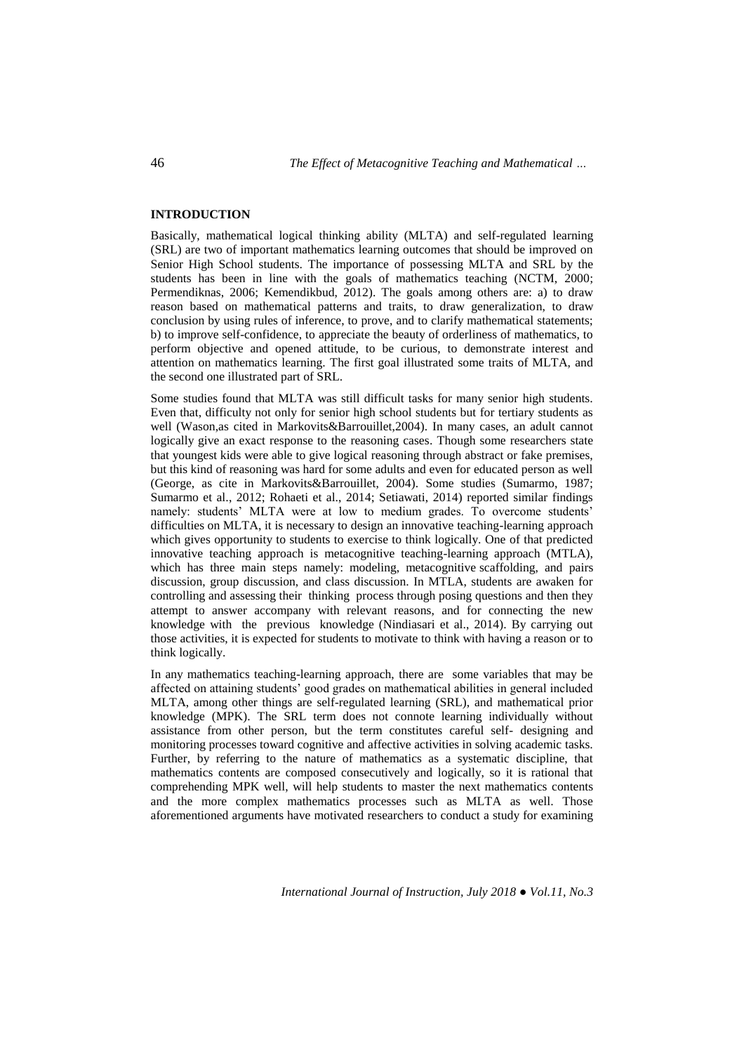# **INTRODUCTION**

Basically, mathematical logical thinking ability (MLTA) and self-regulated learning (SRL) are two of important mathematics learning outcomes that should be improved on Senior High School students. The importance of possessing MLTA and SRL by the students has been in line with the goals of mathematics teaching (NCTM, 2000; Permendiknas, 2006; Kemendikbud, 2012). The goals among others are: a) to draw reason based on mathematical patterns and traits, to draw generalization, to draw conclusion by using rules of inference, to prove, and to clarify mathematical statements; b) to improve self-confidence, to appreciate the beauty of orderliness of mathematics, to perform objective and opened attitude, to be curious, to demonstrate interest and attention on mathematics learning. The first goal illustrated some traits of MLTA, and the second one illustrated part of SRL.

Some studies found that MLTA was still difficult tasks for many senior high students. Even that, difficulty not only for senior high school students but for tertiary students as well (Wason,as cited in Markovits&Barrouillet,2004). In many cases, an adult cannot logically give an exact response to the reasoning cases. Though some researchers state that youngest kids were able to give logical reasoning through abstract or fake premises, but this kind of reasoning was hard for some adults and even for educated person as well (George, as cite in Markovits&Barrouillet, 2004). Some studies (Sumarmo, 1987; Sumarmo et al., 2012; Rohaeti et al., 2014; Setiawati, 2014) reported similar findings namely: students' MLTA were at low to medium grades. To overcome students' difficulties on MLTA, it is necessary to design an innovative teaching-learning approach which gives opportunity to students to exercise to think logically. One of that predicted innovative teaching approach is metacognitive teaching-learning approach (MTLA), which has three main steps namely: modeling, metacognitive scaffolding, and pairs discussion, group discussion, and class discussion. In MTLA, students are awaken for controlling and assessing their thinking process through posing questions and then they attempt to answer accompany with relevant reasons, and for connecting the new knowledge with the previous knowledge (Nindiasari et al., 2014). By carrying out those activities, it is expected for students to motivate to think with having a reason or to think logically.

In any mathematics teaching-learning approach, there are some variables that may be affected on attaining students' good grades on mathematical abilities in general included MLTA, among other things are self-regulated learning (SRL), and mathematical prior knowledge (MPK). The SRL term does not connote learning individually without assistance from other person, but the term constitutes careful self- designing and monitoring processes toward cognitive and affective activities in solving academic tasks. Further, by referring to the nature of mathematics as a systematic discipline, that mathematics contents are composed consecutively and logically, so it is rational that comprehending MPK well, will help students to master the next mathematics contents and the more complex mathematics processes such as MLTA as well. Those aforementioned arguments have motivated researchers to conduct a study for examining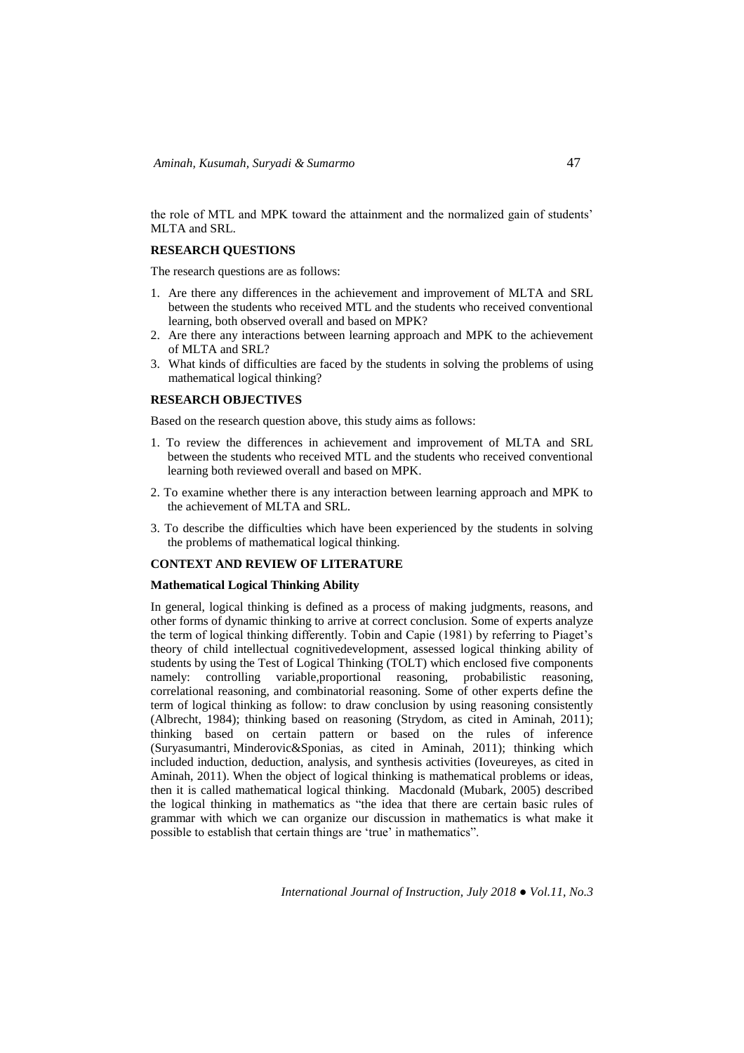the role of MTL and MPK toward the attainment and the normalized gain of students' MLTA and SRL.

## **RESEARCH QUESTIONS**

The research questions are as follows:

- 1. Are there any differences in the achievement and improvement of MLTA and SRL between the students who received MTL and the students who received conventional learning, both observed overall and based on MPK?
- 2. Are there any interactions between learning approach and MPK to the achievement of MLTA and SRL?
- 3. What kinds of difficulties are faced by the students in solving the problems of using mathematical logical thinking?

#### **RESEARCH OBJECTIVES**

Based on the research question above, this study aims as follows:

- 1. To review the differences in achievement and improvement of MLTA and SRL between the students who received MTL and the students who received conventional learning both reviewed overall and based on MPK.
- 2. To examine whether there is any interaction between learning approach and MPK to the achievement of MLTA and SRL.
- 3. To describe the difficulties which have been experienced by the students in solving the problems of mathematical logical thinking.

#### **CONTEXT AND REVIEW OF LITERATURE**

#### **Mathematical Logical Thinking Ability**

In general, logical thinking is defined as a process of making judgments, reasons, and other forms of dynamic thinking to arrive at correct conclusion. Some of experts analyze the term of logical thinking differently. Tobin and Capie (1981) by referring to Piaget's theory of child intellectual cognitivedevelopment, assessed logical thinking ability of students by using the Test of Logical Thinking (TOLT) which enclosed five components namely: controlling variable,proportional reasoning, probabilistic reasoning, correlational reasoning, and combinatorial reasoning. Some of other experts define the term of logical thinking as follow: to draw conclusion by using reasoning consistently (Albrecht, 1984); thinking based on reasoning (Strydom, as cited in Aminah, 2011); thinking based on certain pattern or based on the rules of inference (Suryasumantri, Minderovic&Sponias, as cited in Aminah, 2011); thinking which included induction, deduction, analysis, and synthesis activities (Ioveureyes, as cited in Aminah, 2011). When the object of logical thinking is mathematical problems or ideas, then it is called mathematical logical thinking. Macdonald (Mubark, 2005) described the logical thinking in mathematics as "the idea that there are certain basic rules of grammar with which we can organize our discussion in mathematics is what make it possible to establish that certain things are 'true' in mathematics".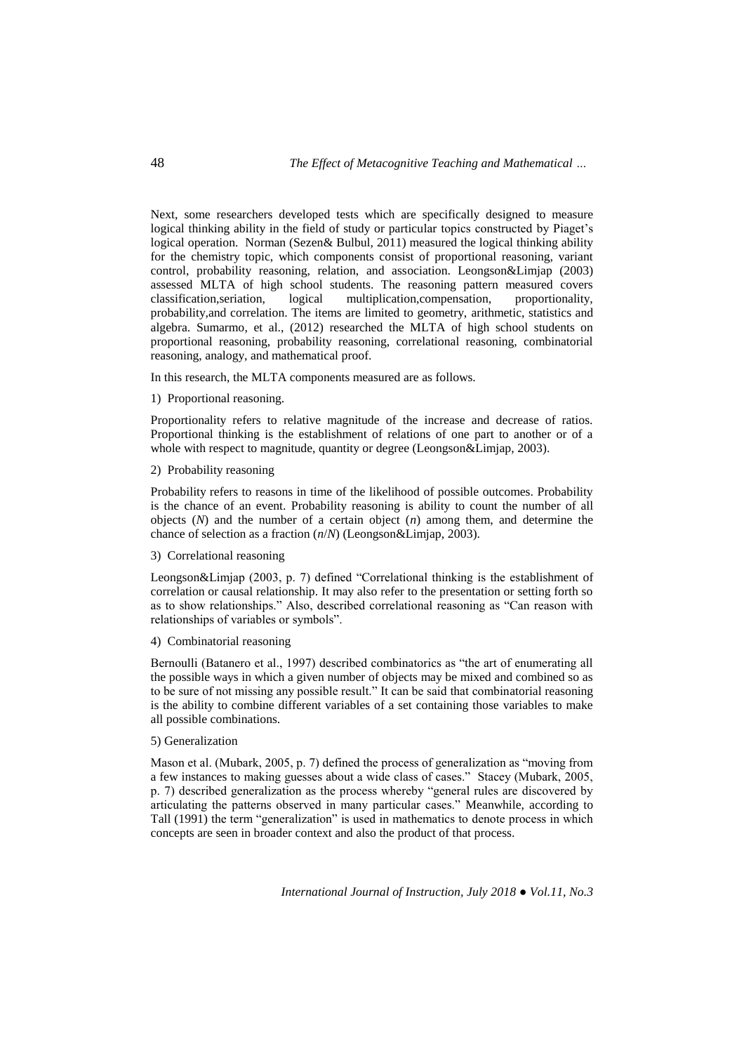Next, some researchers developed tests which are specifically designed to measure logical thinking ability in the field of study or particular topics constructed by Piaget's logical operation. Norman (Sezen& Bulbul, 2011) measured the logical thinking ability for the chemistry topic, which components consist of proportional reasoning, variant control, probability reasoning, relation, and association. Leongson&Limjap (2003) assessed MLTA of high school students. The reasoning pattern measured covers classification,seriation, logical multiplication,compensation, proportionality, probability,and correlation. The items are limited to geometry, arithmetic, statistics and algebra. Sumarmo, et al., (2012) researched the MLTA of high school students on proportional reasoning, probability reasoning, correlational reasoning, combinatorial reasoning, analogy, and mathematical proof.

In this research, the MLTA components measured are as follows.

### 1) Proportional reasoning.

Proportionality refers to relative magnitude of the increase and decrease of ratios. Proportional thinking is the establishment of relations of one part to another or of a whole with respect to magnitude, quantity or degree (Leongson & Limiap, 2003).

# 2) Probability reasoning

Probability refers to reasons in time of the likelihood of possible outcomes. Probability is the chance of an event. Probability reasoning is ability to count the number of all objects (*N*) and the number of a certain object (*n*) among them, and determine the chance of selection as a fraction (*n*/*N*) (Leongson&Limjap, 2003).

### 3) Correlational reasoning

Leongson&Limjap (2003, p. 7) defined "Correlational thinking is the establishment of correlation or causal relationship. It may also refer to the presentation or setting forth so as to show relationships." Also, described correlational reasoning as "Can reason with relationships of variables or symbols".

#### 4) Combinatorial reasoning

Bernoulli (Batanero et al., 1997) described combinatorics as "the art of enumerating all the possible ways in which a given number of objects may be mixed and combined so as to be sure of not missing any possible result." It can be said that combinatorial reasoning is the ability to combine different variables of a set containing those variables to make all possible combinations.

#### 5) Generalization

Mason et al. (Mubark, 2005, p. 7) defined the process of generalization as "moving from a few instances to making guesses about a wide class of cases." Stacey (Mubark, 2005, p. 7) described generalization as the process whereby "general rules are discovered by articulating the patterns observed in many particular cases." Meanwhile, according to Tall (1991) the term "generalization" is used in mathematics to denote process in which concepts are seen in broader context and also the product of that process.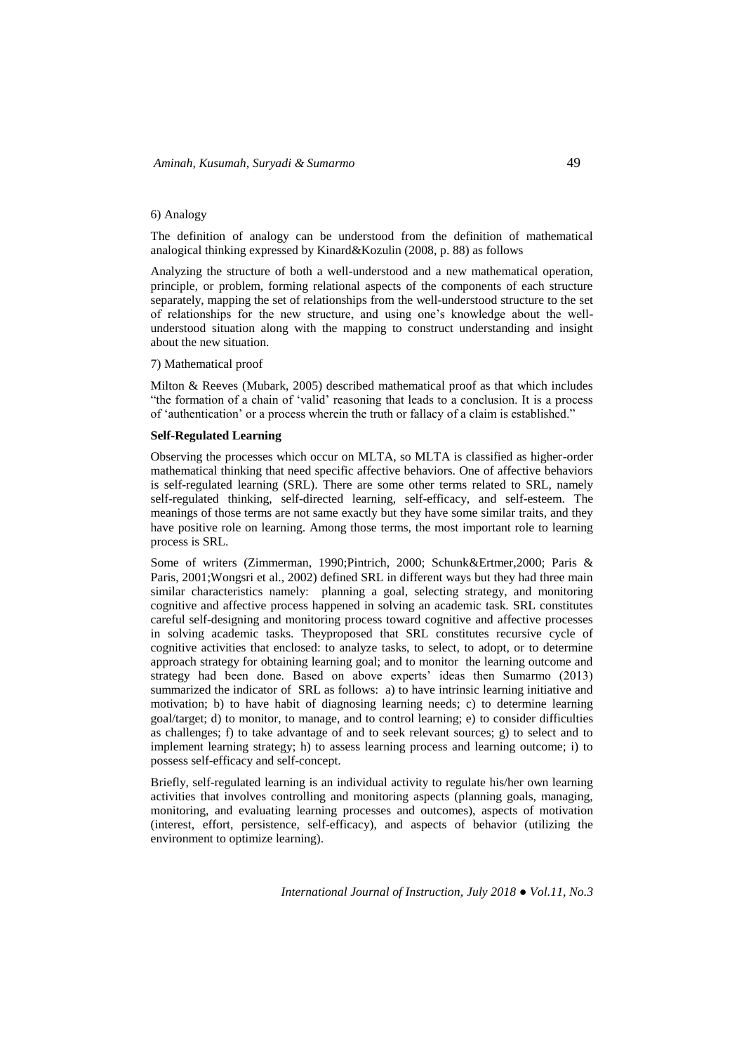# 6) Analogy

The definition of analogy can be understood from the definition of mathematical analogical thinking expressed by Kinard&Kozulin (2008, p. 88) as follows

Analyzing the structure of both a well-understood and a new mathematical operation, principle, or problem, forming relational aspects of the components of each structure separately, mapping the set of relationships from the well-understood structure to the set of relationships for the new structure, and using one's knowledge about the wellunderstood situation along with the mapping to construct understanding and insight about the new situation.

#### 7) Mathematical proof

Milton & Reeves (Mubark, 2005) described mathematical proof as that which includes "the formation of a chain of 'valid' reasoning that leads to a conclusion. It is a process of 'authentication' or a process wherein the truth or fallacy of a claim is established."

### **Self-Regulated Learning**

Observing the processes which occur on MLTA, so MLTA is classified as higher-order mathematical thinking that need specific affective behaviors. One of affective behaviors is self-regulated learning (SRL). There are some other terms related to SRL, namely self-regulated thinking, self-directed learning, self-efficacy, and self-esteem. The meanings of those terms are not same exactly but they have some similar traits, and they have positive role on learning. Among those terms, the most important role to learning process is SRL.

Some of writers (Zimmerman, 1990;Pintrich, 2000; Schunk&Ertmer,2000; Paris & Paris, 2001;Wongsri et al., 2002) defined SRL in different ways but they had three main similar characteristics namely: planning a goal, selecting strategy, and monitoring cognitive and affective process happened in solving an academic task. SRL constitutes careful self-designing and monitoring process toward cognitive and affective processes in solving academic tasks. Theyproposed that SRL constitutes recursive cycle of cognitive activities that enclosed: to analyze tasks, to select, to adopt, or to determine approach strategy for obtaining learning goal; and to monitor the learning outcome and strategy had been done. Based on above experts' ideas then Sumarmo (2013) summarized the indicator of SRL as follows: a) to have intrinsic learning initiative and motivation; b) to have habit of diagnosing learning needs; c) to determine learning goal/target; d) to monitor, to manage, and to control learning; e) to consider difficulties as challenges; f) to take advantage of and to seek relevant sources; g) to select and to implement learning strategy; h) to assess learning process and learning outcome; i) to possess self-efficacy and self-concept.

Briefly, self-regulated learning is an individual activity to regulate his/her own learning activities that involves controlling and monitoring aspects (planning goals, managing, monitoring, and evaluating learning processes and outcomes), aspects of motivation (interest, effort, persistence, self-efficacy), and aspects of behavior (utilizing the environment to optimize learning).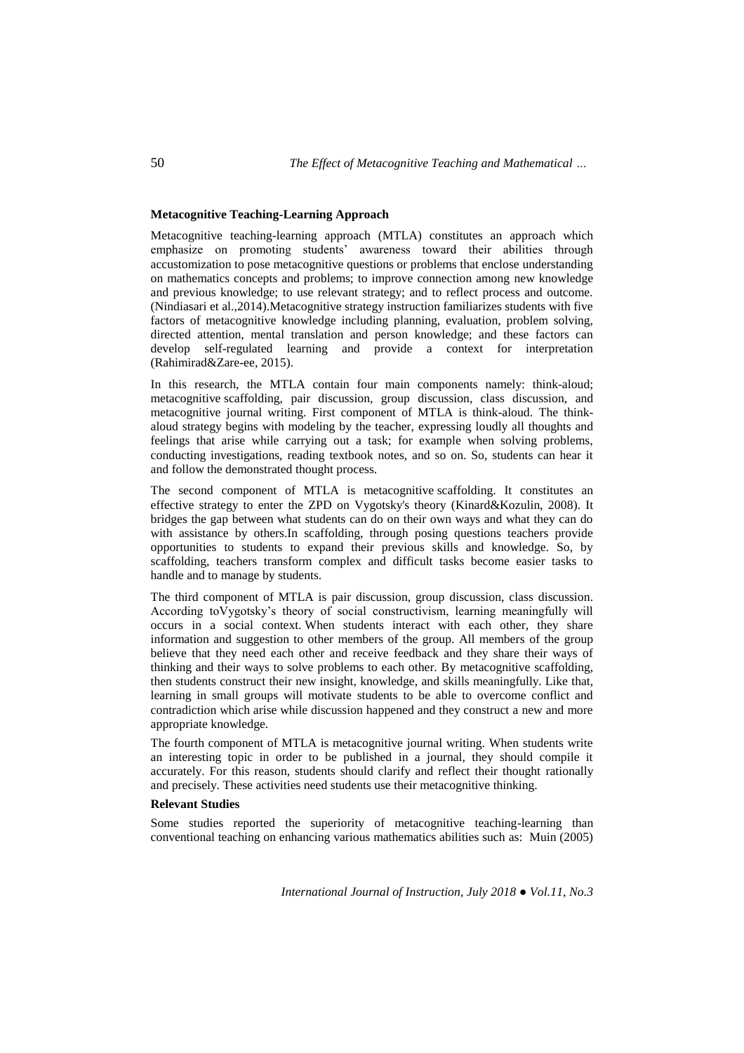### **Metacognitive Teaching-Learning Approach**

Metacognitive teaching-learning approach (MTLA) constitutes an approach which emphasize on promoting students' awareness toward their abilities through accustomization to pose metacognitive questions or problems that enclose understanding on mathematics concepts and problems; to improve connection among new knowledge and previous knowledge; to use relevant strategy; and to reflect process and outcome. (Nindiasari et al.,2014).Metacognitive strategy instruction familiarizes students with five factors of metacognitive knowledge including planning, evaluation, problem solving, directed attention, mental translation and person knowledge; and these factors can develop self-regulated learning and provide a context for interpretation (Rahimirad&Zare-ee, 2015).

In this research, the MTLA contain four main components namely: think-aloud; metacognitive scaffolding, pair discussion, group discussion, class discussion, and metacognitive journal writing. First component of MTLA is think-aloud. The thinkaloud strategy begins with modeling by the teacher, expressing loudly all thoughts and feelings that arise while carrying out a task; for example when solving problems, conducting investigations, reading textbook notes, and so on. So, students can hear it and follow the demonstrated thought process.

The second component of MTLA is metacognitive scaffolding. It constitutes an effective strategy to enter the ZPD on Vygotsky's theory (Kinard&Kozulin, 2008). It bridges the gap between what students can do on their own ways and what they can do with assistance by others.In scaffolding, through posing questions teachers provide opportunities to students to expand their previous skills and knowledge. So, by scaffolding, teachers transform complex and difficult tasks become easier tasks to handle and to manage by students.

The third component of MTLA is pair discussion, group discussion, class discussion. According toVygotsky's theory of social constructivism, learning meaningfully will occurs in a social context. When students interact with each other, they share information and suggestion to other members of the group. All members of the group believe that they need each other and receive feedback and they share their ways of thinking and their ways to solve problems to each other. By metacognitive scaffolding, then students construct their new insight, knowledge, and skills meaningfully. Like that, learning in small groups will motivate students to be able to overcome conflict and contradiction which arise while discussion happened and they construct a new and more appropriate knowledge.

The fourth component of MTLA is metacognitive journal writing. When students write an interesting topic in order to be published in a journal, they should compile it accurately. For this reason, students should clarify and reflect their thought rationally and precisely. These activities need students use their metacognitive thinking.

# **Relevant Studies**

Some studies reported the superiority of metacognitive teaching-learning than conventional teaching on enhancing various mathematics abilities such as: Muin (2005)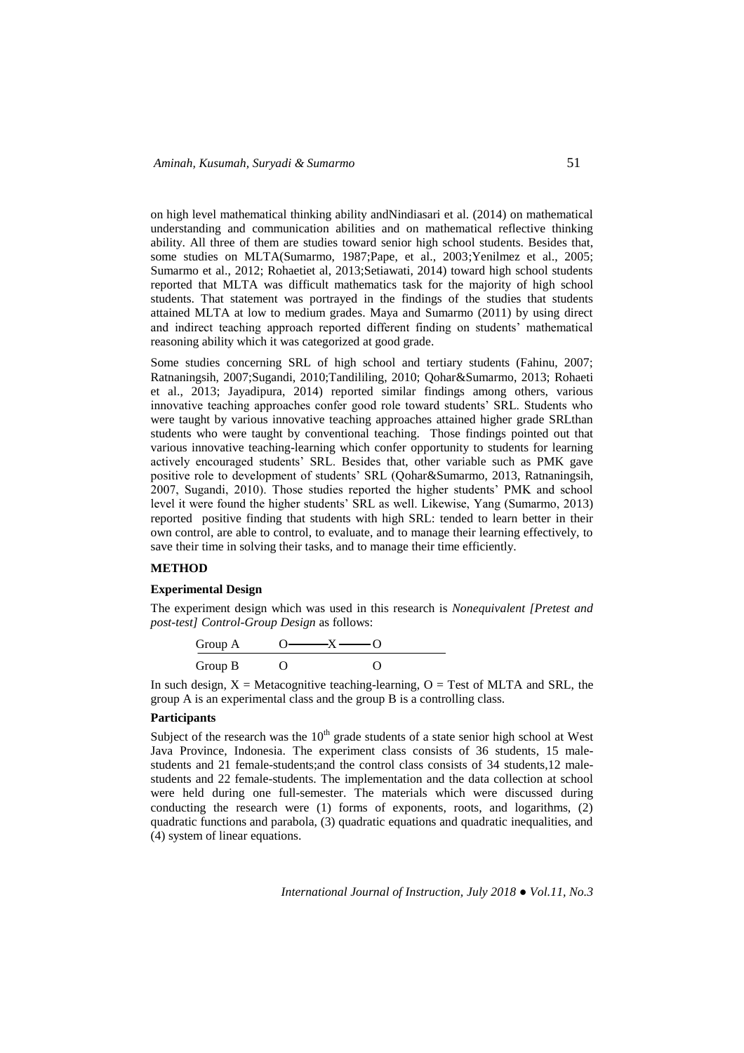on high level mathematical thinking ability andNindiasari et al. (2014) on mathematical understanding and communication abilities and on mathematical reflective thinking ability. All three of them are studies toward senior high school students. Besides that, some studies on MLTA(Sumarmo, 1987;Pape, et al., 2003;Yenilmez et al., 2005; Sumarmo et al., 2012; Rohaetiet al, 2013;Setiawati, 2014) toward high school students reported that MLTA was difficult mathematics task for the majority of high school students. That statement was portrayed in the findings of the studies that students attained MLTA at low to medium grades. Maya and Sumarmo (2011) by using direct and indirect teaching approach reported different finding on students' mathematical reasoning ability which it was categorized at good grade.

Some studies concerning SRL of high school and tertiary students (Fahinu, 2007; Ratnaningsih, 2007;Sugandi, 2010;Tandililing, 2010; Qohar&Sumarmo, 2013; Rohaeti et al., 2013; Jayadipura, 2014) reported similar findings among others, various innovative teaching approaches confer good role toward students' SRL. Students who were taught by various innovative teaching approaches attained higher grade SRLthan students who were taught by conventional teaching. Those findings pointed out that various innovative teaching-learning which confer opportunity to students for learning actively encouraged students' SRL. Besides that, other variable such as PMK gave positive role to development of students' SRL (Qohar&Sumarmo, 2013, Ratnaningsih, 2007, Sugandi, 2010). Those studies reported the higher students' PMK and school level it were found the higher students' SRL as well. Likewise, Yang (Sumarmo, 2013) reported positive finding that students with high SRL: tended to learn better in their own control, are able to control, to evaluate, and to manage their learning effectively, to save their time in solving their tasks, and to manage their time efficiently.

#### **METHOD**

#### **Experimental Design**

The experiment design which was used in this research is *Nonequivalent [Pretest and post-test] Control-Group Design* as follows:

| Group A |  |  |
|---------|--|--|
| Group B |  |  |

In such design,  $X = Metacognitive teaching-learning$ ,  $O = Test of MLTA$  and SRL, the group A is an experimental class and the group B is a controlling class.

# **Participants**

Subject of the research was the  $10<sup>th</sup>$  grade students of a state senior high school at West Java Province, Indonesia. The experiment class consists of 36 students, 15 malestudents and 21 female-students;and the control class consists of 34 students,12 malestudents and 22 female-students. The implementation and the data collection at school were held during one full-semester. The materials which were discussed during conducting the research were (1) forms of exponents, roots, and logarithms, (2) quadratic functions and parabola, (3) quadratic equations and quadratic inequalities, and (4) system of linear equations.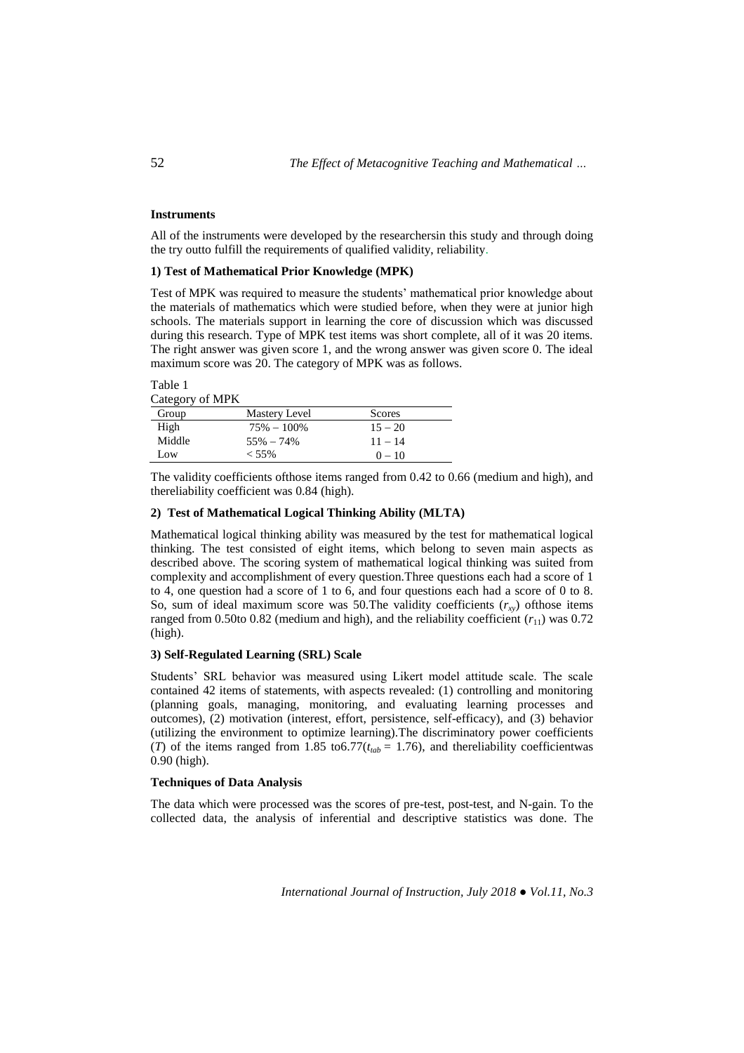### **Instruments**

All of the instruments were developed by the researchersin this study and through doing the try outto fulfill the requirements of qualified validity, reliability.

# **1) Test of Mathematical Prior Knowledge (MPK)**

Test of MPK was required to measure the students' mathematical prior knowledge about the materials of mathematics which were studied before, when they were at junior high schools. The materials support in learning the core of discussion which was discussed during this research. Type of MPK test items was short complete, all of it was 20 items. The right answer was given score 1, and the wrong answer was given score 0. The ideal maximum score was 20. The category of MPK was as follows.

Table 1 Category of MPK Group Mastery Level Scores High  $75\% - 100\%$   $15 - 20$ Middle  $55\% - 74\%$  11 - 14 Low  $< 55\%$  0 - 10

The validity coefficients ofthose items ranged from 0.42 to 0.66 (medium and high), and thereliability coefficient was 0.84 (high).

# **2) Test of Mathematical Logical Thinking Ability (MLTA)**

Mathematical logical thinking ability was measured by the test for mathematical logical thinking. The test consisted of eight items, which belong to seven main aspects as described above. The scoring system of mathematical logical thinking was suited from complexity and accomplishment of every question.Three questions each had a score of 1 to 4, one question had a score of 1 to 6, and four questions each had a score of 0 to 8. So, sum of ideal maximum score was 50. The validity coefficients  $(r_{xy})$  of those items ranged from 0.50to 0.82 (medium and high), and the reliability coefficient  $(r_{11})$  was 0.72 (high).

### **3) Self-Regulated Learning (SRL) Scale**

Students' SRL behavior was measured using Likert model attitude scale. The scale contained 42 items of statements, with aspects revealed: (1) controlling and monitoring (planning goals, managing, monitoring, and evaluating learning processes and outcomes), (2) motivation (interest, effort, persistence, self-efficacy), and (3) behavior (utilizing the environment to optimize learning).The discriminatory power coefficients (*T*) of the items ranged from 1.85 to 6.77( $t_{lab}$  = 1.76), and there liability coefficientwas 0.90 (high).

# **Techniques of Data Analysis**

The data which were processed was the scores of pre-test, post-test, and N-gain. To the collected data, the analysis of inferential and descriptive statistics was done. The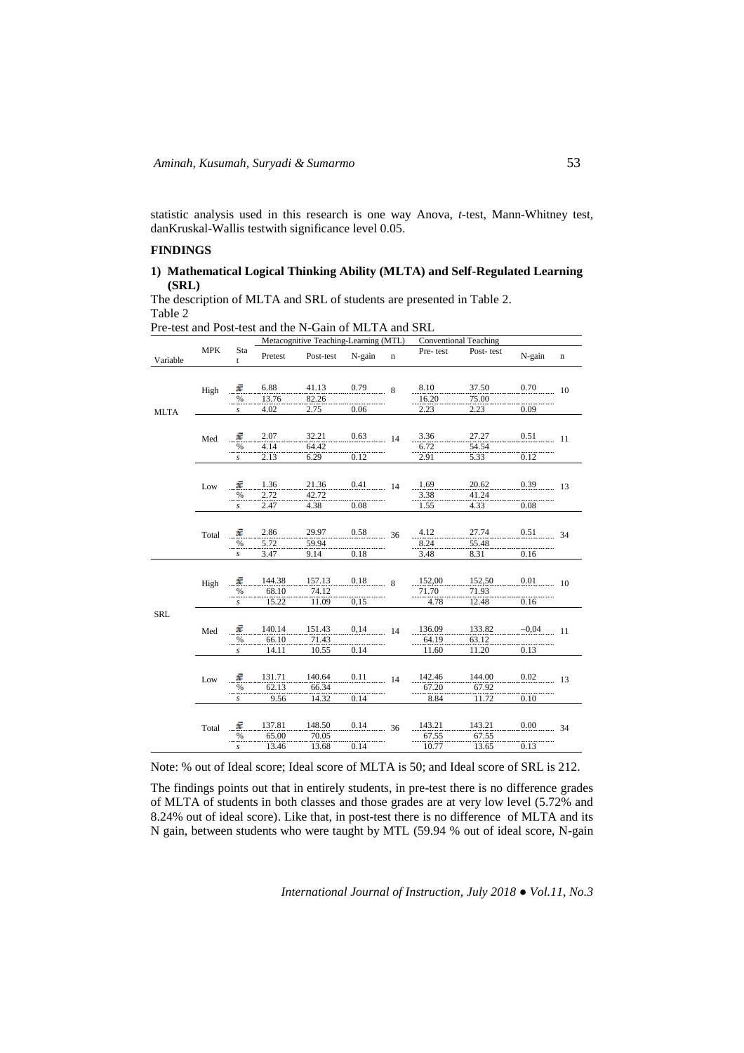statistic analysis used in this research is one way Anova, *t-*test, Mann-Whitney test, danKruskal-Wallis testwith significance level 0.05.

# **FINDINGS**

# **1) Mathematical Logical Thinking Ability (MLTA) and Self-Regulated Learning (SRL)**

The description of MLTA and SRL of students are presented in Table 2. Table 2

|  | Pre-test and Post-test and the N-Gain of MLTA and SRL |
|--|-------------------------------------------------------|
|--|-------------------------------------------------------|

|             |            |                  |         | Metacognitive Teaching-Learning (MTL) |        |             |          | <b>Conventional Teaching</b> |         |    |
|-------------|------------|------------------|---------|---------------------------------------|--------|-------------|----------|------------------------------|---------|----|
| Variable    | <b>MPK</b> | Sta<br>t         | Pretest | Post-test                             | N-gain | $\mathbf n$ | Pre-test | Post-test                    | N-gain  | n  |
|             |            |                  |         |                                       |        |             |          |                              |         |    |
|             | High       | x                | 6.88    | 41.13                                 | 0.79   | 8           | 8.10     | 37.50                        | 0.70    | 10 |
|             |            | $\frac{\%}{\%}$  | 13.76   | 82.26                                 |        |             | 16.20    | 75.00                        |         |    |
| <b>MLTA</b> |            | $\boldsymbol{S}$ | 4.02    | 2.75                                  | 0.06   |             | 2.23     | 2.23                         | 0.09    |    |
|             |            |                  |         |                                       |        |             |          |                              |         |    |
|             |            | x                | 2.07    | 32.21                                 | 0.63   | 14          | 3.36     | 27.27                        | 0.51    |    |
|             | Med        | $\%$             | 4.14    | 64.42                                 |        |             | 6.72     | 54.54                        |         | 11 |
|             |            | $\boldsymbol{S}$ | 2.13    | 6.29                                  | 0.12   |             | 2.91     | 5.33                         | 0.12    |    |
|             |            |                  |         |                                       |        |             |          |                              |         |    |
|             |            | š                | 1.36    | 21.36                                 | 0.41   | 14          | 1.69     | 20.62                        | 0.39    |    |
|             | Low        | %                | 2.72    | 42.72                                 |        |             | 3.38     | 41.24                        |         | 13 |
|             |            | $\boldsymbol{S}$ | 2.47    | 4.38                                  | 0.08   |             | 1.55     | 4.33                         | 0.08    |    |
|             |            |                  |         |                                       |        |             |          |                              |         |    |
|             | Total      | ž                | 2.86    | 29.97                                 | 0.58   | 36          | 4.12     | 27.74                        | 0.51    | 34 |
|             |            | $\%$             | 5.72    | 59.94                                 |        |             | 8.24     | 55.48                        |         |    |
|             |            | $\boldsymbol{S}$ | 3.47    | 9.14                                  | 0.18   |             | 3.48     | 8.31                         | 0.16    |    |
|             |            |                  |         |                                       |        |             |          |                              |         |    |
|             | High       | ż                | 144.38  | 157.13                                | 0.18   | 8           | 152,00   | 152,50                       | 0.01    | 10 |
|             |            | %<br>            | 68.10   | 74.12                                 |        |             | 71.70    | 71.93                        |         |    |
|             |            | $\boldsymbol{S}$ | 15.22   | 11.09                                 | 0,15   |             | 4.78     | 12.48                        | 0.16    |    |
| <b>SRL</b>  |            |                  |         |                                       |        |             |          |                              |         |    |
|             | Med        | ž                | 140.14  | 151.43                                | 0,14   | 14          | 136.09   | 133.82                       | $-0.04$ | 11 |
|             |            | $\%$             | 66.10   | 71.43                                 |        |             | 64.19    | 63.12                        |         |    |
|             |            | $\boldsymbol{S}$ | 14.11   | 10.55                                 | 0.14   |             | 11.60    | 11.20                        | 0.13    |    |
|             |            |                  |         |                                       |        |             |          |                              |         |    |
|             | Low        | š                | 131.71  | 140.64                                | 0.11   | 14          | 142.46   | 144.00                       | 0.02    | 13 |
|             |            | $\frac{\%}{\%}$  | 62.13   | 66.34                                 |        |             | 67.20    | 67.92                        |         |    |
|             |            | $\boldsymbol{S}$ | 9.56    | 14.32                                 | 0.14   |             | 8.84     | 11.72                        | 0.10    |    |
|             |            |                  |         |                                       |        |             |          |                              |         |    |
|             | Total      | šč               | 137.81  | 148.50                                | 0.14   | 36          | 143.21   | 143.21                       | 0.00    | 34 |
|             |            | $\frac{9}{6}$    | 65.00   | 70.05                                 |        |             | 67.55    | 67.55                        |         |    |
|             |            | $\boldsymbol{S}$ | 13.46   | 13.68                                 | 0.14   |             | 10.77    | 13.65                        | 0.13    |    |

Note: % out of Ideal score; Ideal score of MLTA is 50; and Ideal score of SRL is 212.

The findings points out that in entirely students, in pre-test there is no difference grades of MLTA of students in both classes and those grades are at very low level (5.72% and 8.24% out of ideal score). Like that, in post-test there is no difference of MLTA and its N gain, between students who were taught by MTL (59.94 % out of ideal score, N-gain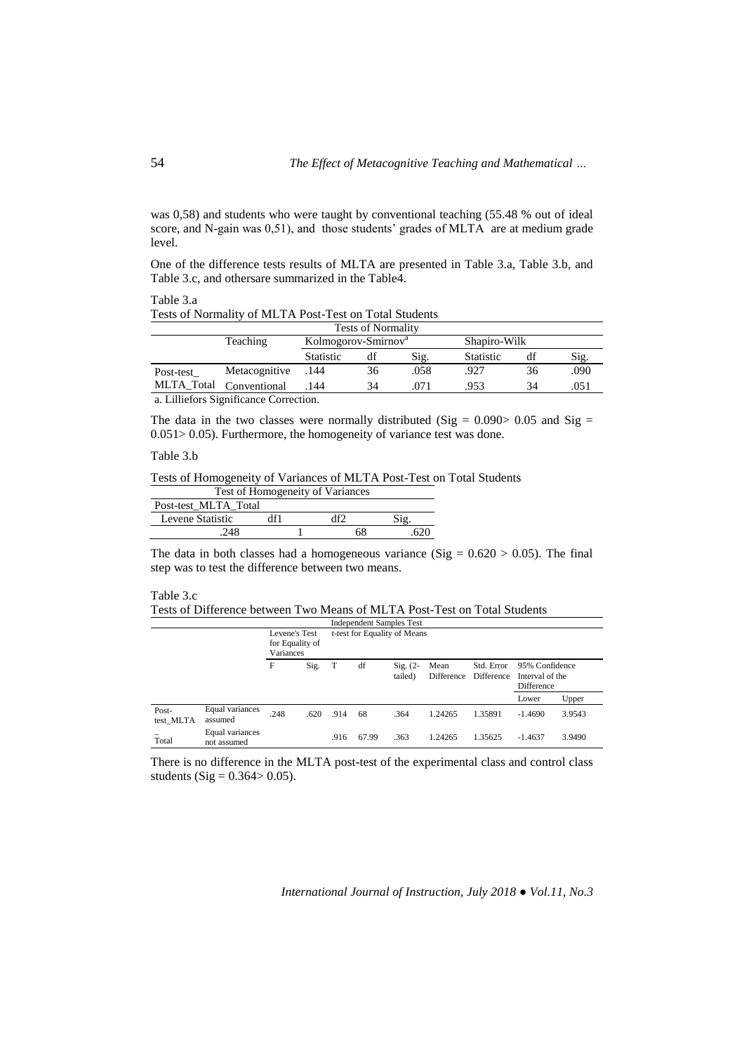was 0,58) and students who were taught by conventional teaching (55.48 % out of ideal score, and N-gain was 0,51), and those students' grades of MLTA are at medium grade level.

One of the difference tests results of MLTA are presented in Table 3.a, Table 3.b, and Table 3.c, and othersare summarized in the Table4.

Table 3.a Tests of Normality of MLTA Post-Test on Total Students Tests of Normality

| Tests of Normanty               |                         |                                 |    |      |                  |    |      |  |  |
|---------------------------------|-------------------------|---------------------------------|----|------|------------------|----|------|--|--|
|                                 | Teaching                | Kolmogorov-Smirnov <sup>a</sup> |    |      | Shapiro-Wilk     |    |      |  |  |
|                                 |                         | <b>Statistic</b>                |    | Sig. | <b>Statistic</b> | df | Sig. |  |  |
| Post-test                       | Metacognitive           | .144                            | 36 | .058 | .927             | 36 | .090 |  |  |
| MLTA Total                      | Conventional            | .144                            | 34 | 071  | .953             | 34 | 051  |  |  |
| $\mathbf{r}$ . The $\mathbf{r}$ | $\sim$ $\sim$<br>$\sim$ |                                 |    |      |                  |    |      |  |  |

a. Lilliefors Significance Correction.

The data in the two classes were normally distributed (Sig =  $0.090>0.05$  and Sig = 0.051> 0.05). Furthermore, the homogeneity of variance test was done.

#### Table 3.b

Tests of Homogeneity of Variances of MLTA Post-Test on Total Students

| Test of Homogeneity of Variances |  |  |  |  |  |  |  |  |
|----------------------------------|--|--|--|--|--|--|--|--|
| Post-test MLTA Total             |  |  |  |  |  |  |  |  |
| Levene Statistic                 |  |  |  |  |  |  |  |  |
| 248                              |  |  |  |  |  |  |  |  |

The data in both classes had a homogeneous variance (Sig =  $0.620 > 0.05$ ). The final step was to test the difference between two means.

# Table 3.c

Tests of Difference between Two Means of MLTA Post-Test on Total Students

|                    |                                |                                               |      |      |       | <b>Independent Samples Test</b> |         |                                     |                                                 |        |
|--------------------|--------------------------------|-----------------------------------------------|------|------|-------|---------------------------------|---------|-------------------------------------|-------------------------------------------------|--------|
|                    |                                | Levene's Test<br>for Equality of<br>Variances |      |      |       | t-test for Equality of Means    |         |                                     |                                                 |        |
|                    |                                | F                                             | Sig. | T    | df    | $Sig. (2-$<br>tailed)           | Mean    | Std. Error<br>Difference Difference | 95% Confidence<br>Interval of the<br>Difference |        |
|                    |                                |                                               |      |      |       |                                 |         |                                     | Lower                                           | Upper  |
| Post-<br>test MLTA | Equal variances<br>assumed     | .248                                          | .620 | .914 | 68    | .364                            | 1.24265 | 1.35891                             | $-1.4690$                                       | 3.9543 |
| Total              | Equal variances<br>not assumed |                                               |      | .916 | 67.99 | .363                            | 1.24265 | 1.35625                             | $-1.4637$                                       | 3.9490 |

There is no difference in the MLTA post-test of the experimental class and control class students (Sig =  $0.364 > 0.05$ ).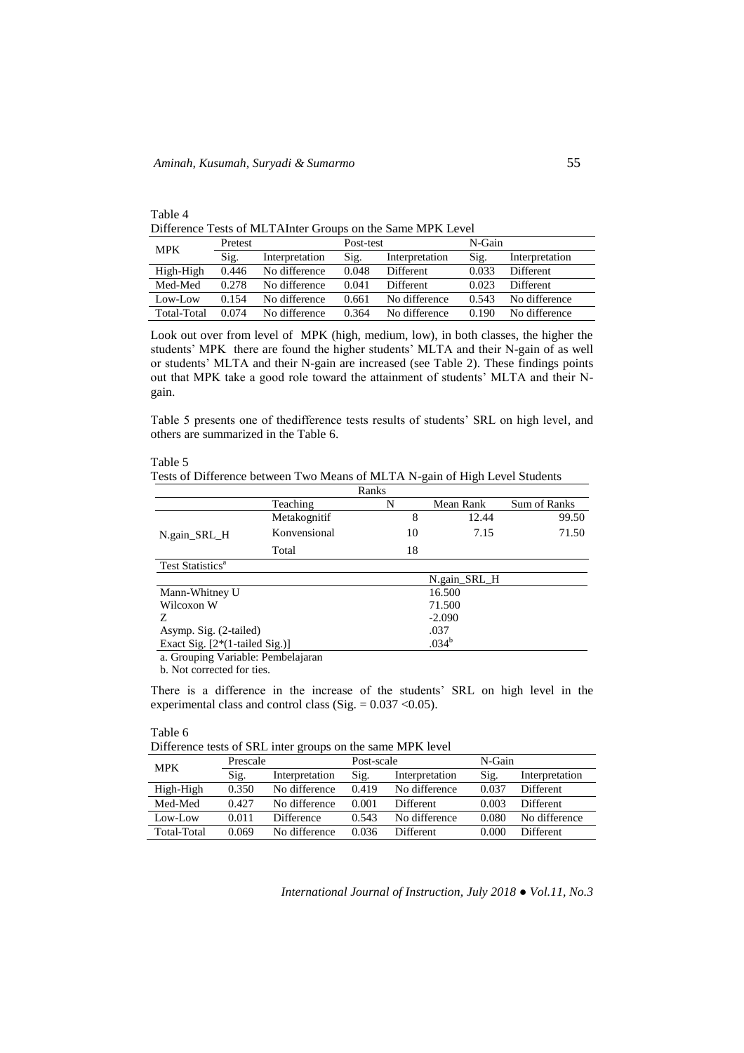| Table 4                                                    |  |
|------------------------------------------------------------|--|
| Difference Tests of MLTAInter Groups on the Same MPK Level |  |

| <b>MPK</b>         | Pretest |                | Post-test |                  |       | N-Gain           |  |  |
|--------------------|---------|----------------|-----------|------------------|-------|------------------|--|--|
|                    | Sig.    | Interpretation | Sig.      | Interpretation   | Sig.  | Interpretation   |  |  |
| High-High          | 0.446   | No difference  | 0.048     | <b>Different</b> | 0.033 | <b>Different</b> |  |  |
| Med-Med            | 0.278   | No difference  | 0.041     | Different        | 0.023 | Different        |  |  |
| Low-Low            | 0.154   | No difference  | 0.661     | No difference    | 0.543 | No difference    |  |  |
| <b>Total-Total</b> | 0.074   | No difference  | 0.364     | No difference    | 0.190 | No difference    |  |  |

Look out over from level of MPK (high, medium, low), in both classes, the higher the students' MPK there are found the higher students' MLTA and their N-gain of as well or students' MLTA and their N-gain are increased (see Table 2). These findings points out that MPK take a good role toward the attainment of students' MLTA and their Ngain.

Table 5 presents one of thedifference tests results of students' SRL on high level, and others are summarized in the Table 6.

Table 5

Table 6

Tests of Difference between Two Means of MLTA N-gain of High Level Students

|                                |              | Ranks |                   |              |
|--------------------------------|--------------|-------|-------------------|--------------|
|                                | Teaching     | N     | Mean Rank         | Sum of Ranks |
|                                | Metakognitif | 8     | 12.44             | 99.50        |
| N.gain SRL H                   | Konvensional | 10    | 7.15              | 71.50        |
|                                | Total        | 18    |                   |              |
| Test Statistics <sup>a</sup>   |              |       |                   |              |
|                                |              |       | N.gain SRL H      |              |
| Mann-Whitney U                 |              |       | 16.500            |              |
| Wilcoxon W                     |              |       | 71.500            |              |
| Z.                             |              |       | $-2.090$          |              |
| Asymp. Sig. (2-tailed)         |              |       | .037              |              |
| Exact Sig. [2*(1-tailed Sig.)] |              |       | .034 <sup>b</sup> |              |

a. Grouping Variable: Pembelajaran

b. Not corrected for ties.

There is a difference in the increase of the students' SRL on high level in the experimental class and control class (Sig.  $= 0.037 \le 0.05$ ).

| Difference tests of SRL inter groups on the same MPK level |          |                   |       |                  |       |                  |  |  |  |  |
|------------------------------------------------------------|----------|-------------------|-------|------------------|-------|------------------|--|--|--|--|
| <b>MPK</b>                                                 | Prescale |                   |       | Post-scale       |       | N-Gain           |  |  |  |  |
|                                                            | Sig.     | Interpretation    | Sig.  | Interpretation   | Sig.  | Interpretation   |  |  |  |  |
| High-High                                                  | 0.350    | No difference     | 0.419 | No difference    | 0.037 | Different        |  |  |  |  |
| Med-Med                                                    | 0.427    | No difference     | 0.001 | <b>Different</b> | 0.003 | <b>Different</b> |  |  |  |  |
| Low-Low                                                    | 0.011    | <b>Difference</b> | 0.543 | No difference    | 0.080 | No difference    |  |  |  |  |
| Total-Total                                                | 0.069    | No difference     | 0.036 | <b>Different</b> | 0.000 | Different        |  |  |  |  |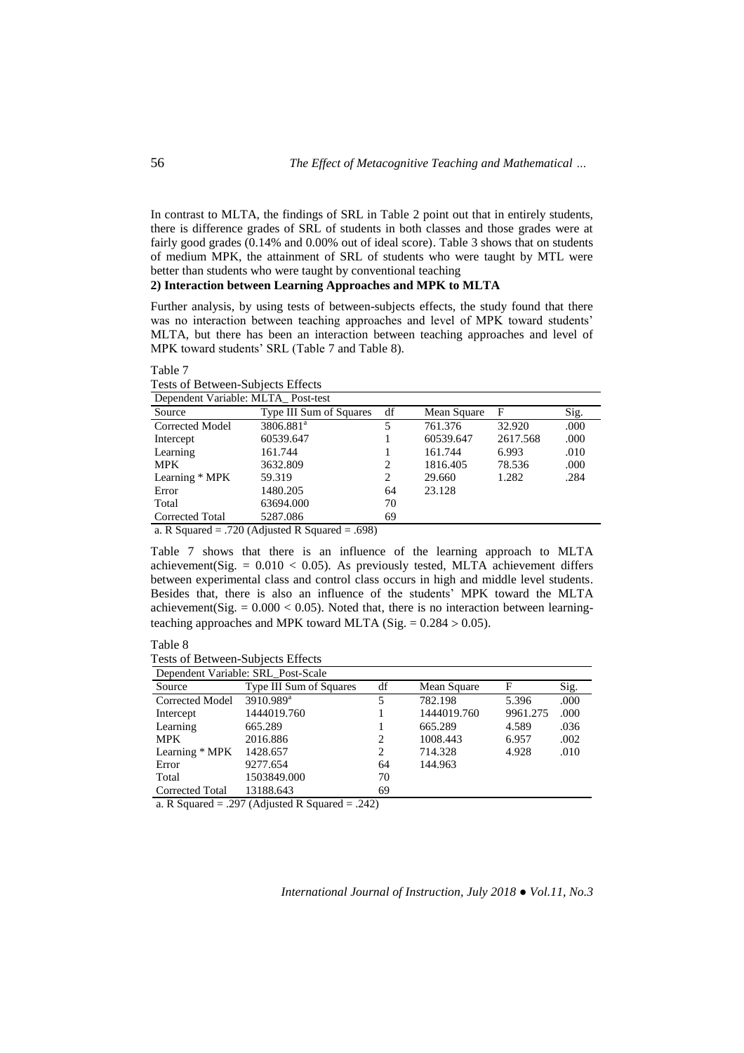In contrast to MLTA, the findings of SRL in Table 2 point out that in entirely students, there is difference grades of SRL of students in both classes and those grades were at fairly good grades (0.14% and 0.00% out of ideal score). Table 3 shows that on students of medium MPK, the attainment of SRL of students who were taught by MTL were better than students who were taught by conventional teaching

# **2) Interaction between Learning Approaches and MPK to MLTA**

Further analysis, by using tests of between-subjects effects, the study found that there was no interaction between teaching approaches and level of MPK toward students' MLTA, but there has been an interaction between teaching approaches and level of MPK toward students' SRL (Table 7 and Table 8).

Table 7 Tests of Between-Subjects Effects

| Dependent Variable: MLTA_Post-test |                         |    |             |          |      |  |  |  |
|------------------------------------|-------------------------|----|-------------|----------|------|--|--|--|
| Source                             | Type III Sum of Squares | df | Mean Square | F        | Sig. |  |  |  |
| Corrected Model                    | 3806.881 <sup>a</sup>   | 5. | 761.376     | 32.920   | .000 |  |  |  |
| Intercept                          | 60539.647               |    | 60539.647   | 2617.568 | .000 |  |  |  |
| Learning                           | 161.744                 |    | 161.744     | 6.993    | .010 |  |  |  |
| <b>MPK</b>                         | 3632.809                | 2  | 1816.405    | 78.536   | .000 |  |  |  |
| Learning * MPK                     | 59.319                  | 2  | 29.660      | 1.282    | .284 |  |  |  |
| Error                              | 1480.205                | 64 | 23.128      |          |      |  |  |  |
| Total                              | 63694.000               | 70 |             |          |      |  |  |  |
| Corrected Total                    | 5287.086                | 69 |             |          |      |  |  |  |
|                                    |                         |    |             |          |      |  |  |  |

a. R Squared = .720 (Adjusted R Squared = .698)

Table 7 shows that there is an influence of the learning approach to MLTA achievement(Sig. =  $0.010 < 0.05$ ). As previously tested, MLTA achievement differs between experimental class and control class occurs in high and middle level students. Besides that, there is also an influence of the students' MPK toward the MLTA achievement(Sig.  $= 0.000 < 0.05$ ). Noted that, there is no interaction between learningteaching approaches and MPK toward MLTA (Sig.  $= 0.284 > 0.05$ ).

#### Table 8

Tests of Between-Subjects Effects Dependent Variable: SRL\_Post-Scale

| Dependent variable. SKL FOSt-Scale |                                |    |             |          |      |  |
|------------------------------------|--------------------------------|----|-------------|----------|------|--|
| Source                             | <b>Type III Sum of Squares</b> | df | Mean Square | F        | Sig. |  |
| Corrected Model                    | $3910.989^a$                   | 5  | 782.198     | 5.396    | .000 |  |
| Intercept                          | 1444019.760                    |    | 1444019.760 | 9961.275 | .000 |  |
| Learning                           | 665.289                        |    | 665.289     | 4.589    | .036 |  |
| <b>MPK</b>                         | 2016.886                       | 2  | 1008.443    | 6.957    | .002 |  |
| Learning * MPK                     | 1428.657                       | 2  | 714.328     | 4.928    | .010 |  |
| Error                              | 9277.654                       | 64 | 144.963     |          |      |  |
| Total                              | 1503849.000                    | 70 |             |          |      |  |
| <b>Corrected Total</b>             | 13188.643                      | 69 |             |          |      |  |
|                                    |                                |    |             |          |      |  |

a. R Squared = .297 (Adjusted R Squared = .242)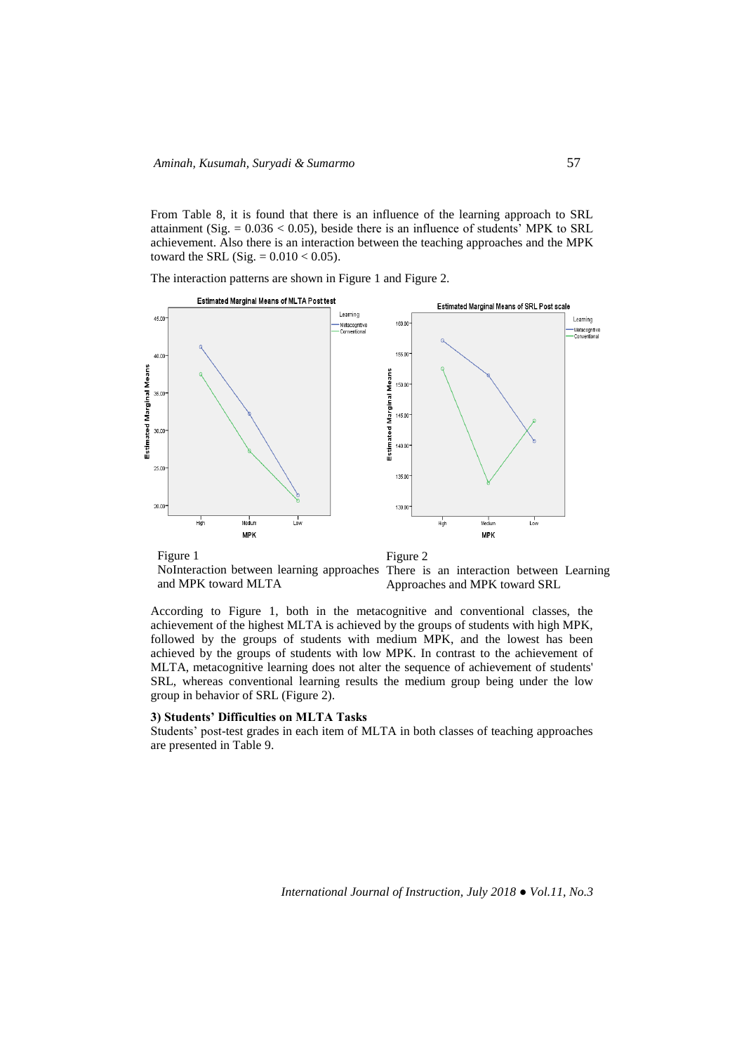From Table 8, it is found that there is an influence of the learning approach to SRL attainment (Sig.  $= 0.036 < 0.05$ ), beside there is an influence of students' MPK to SRL achievement. Also there is an interaction between the teaching approaches and the MPK toward the SRL (Sig. =  $0.010 < 0.05$ ).

The interaction patterns are shown in Figure 1 and Figure 2.



NoInteraction between learning approaches There is an interaction between Learning and MPK toward MLTA Figure 2 Approaches and MPK toward SRL

According to Figure 1, both in the metacognitive and conventional classes, the achievement of the highest MLTA is achieved by the groups of students with high MPK, followed by the groups of students with medium MPK, and the lowest has been achieved by the groups of students with low MPK. In contrast to the achievement of MLTA, metacognitive learning does not alter the sequence of achievement of students' SRL, whereas conventional learning results the medium group being under the low group in behavior of SRL (Figure 2).

## **3) Students' Difficulties on MLTA Tasks**

Students' post-test grades in each item of MLTA in both classes of teaching approaches are presented in Table 9.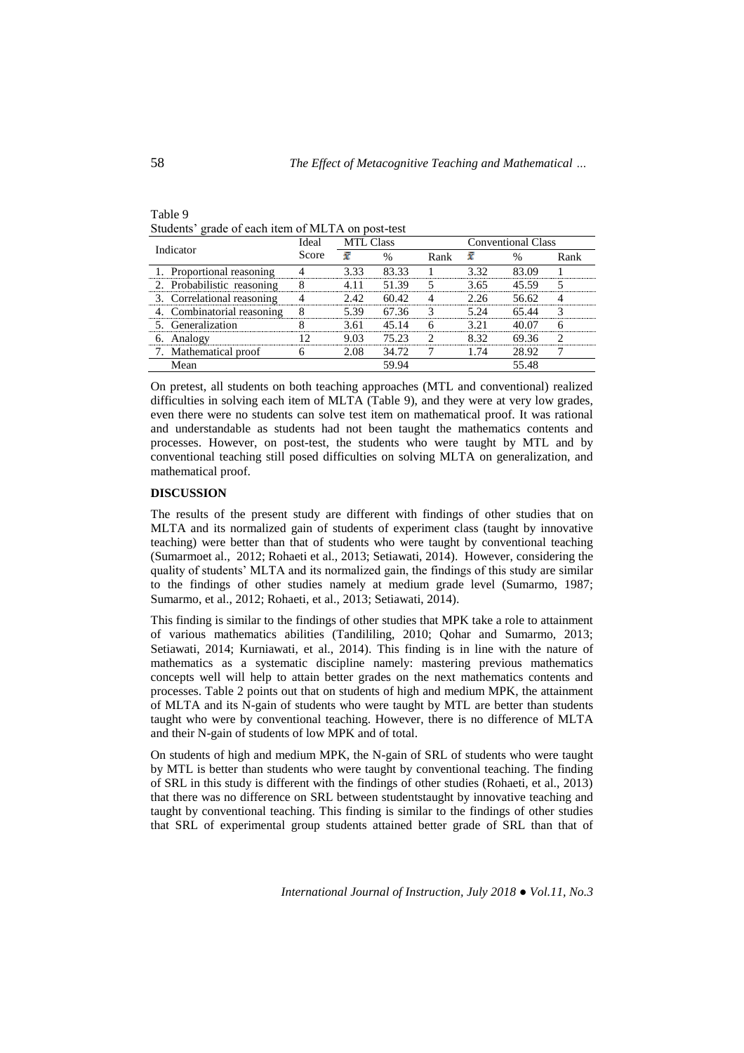| Table 9 |                                                   |  |
|---------|---------------------------------------------------|--|
|         | Students' grade of each item of MLTA on post-test |  |

|                            | ldeal | <b>MTL Class</b> |       |                                | <b>Conventional Class</b> |       |  |
|----------------------------|-------|------------------|-------|--------------------------------|---------------------------|-------|--|
| Indicator                  | Score |                  |       | Rank                           |                           |       |  |
| 1. Proportional reasoning  |       | 3 33             | 83 33 |                                | $\left(32\right)$         |       |  |
| Probabilistic reasoning    |       |                  | 1 3Q  |                                | 3 65                      | 45 50 |  |
| 3. Correlational reasoning |       | 42               |       |                                | 26                        | 56.62 |  |
| 4. Combinatorial reasoning |       | 539              | 6736  |                                | 5 94                      |       |  |
| 5. Generalization          |       |                  | -14   | ------------------------------ | O 1                       |       |  |
| Analogy                    |       |                  | 75 23 |                                |                           | 36    |  |
| 7. Mathematical proof      |       | 2.08             | 34.72 |                                |                           | 28.92 |  |
| Mean                       |       |                  |       |                                |                           |       |  |

On pretest, all students on both teaching approaches (MTL and conventional) realized difficulties in solving each item of MLTA (Table 9), and they were at very low grades, even there were no students can solve test item on mathematical proof. It was rational and understandable as students had not been taught the mathematics contents and processes. However, on post-test, the students who were taught by MTL and by conventional teaching still posed difficulties on solving MLTA on generalization, and mathematical proof.

# **DISCUSSION**

The results of the present study are different with findings of other studies that on MLTA and its normalized gain of students of experiment class (taught by innovative teaching) were better than that of students who were taught by conventional teaching (Sumarmoet al., 2012; Rohaeti et al., 2013; Setiawati, 2014). However, considering the quality of students' MLTA and its normalized gain, the findings of this study are similar to the findings of other studies namely at medium grade level (Sumarmo, 1987; Sumarmo, et al., 2012; Rohaeti, et al., 2013; Setiawati, 2014).

This finding is similar to the findings of other studies that MPK take a role to attainment of various mathematics abilities (Tandililing, 2010; Qohar and Sumarmo, 2013; Setiawati, 2014; Kurniawati, et al., 2014). This finding is in line with the nature of mathematics as a systematic discipline namely: mastering previous mathematics concepts well will help to attain better grades on the next mathematics contents and processes. Table 2 points out that on students of high and medium MPK, the attainment of MLTA and its N-gain of students who were taught by MTL are better than students taught who were by conventional teaching. However, there is no difference of MLTA and their N-gain of students of low MPK and of total.

On students of high and medium MPK, the N-gain of SRL of students who were taught by MTL is better than students who were taught by conventional teaching. The finding of SRL in this study is different with the findings of other studies (Rohaeti, et al., 2013) that there was no difference on SRL between studentstaught by innovative teaching and taught by conventional teaching. This finding is similar to the findings of other studies that SRL of experimental group students attained better grade of SRL than that of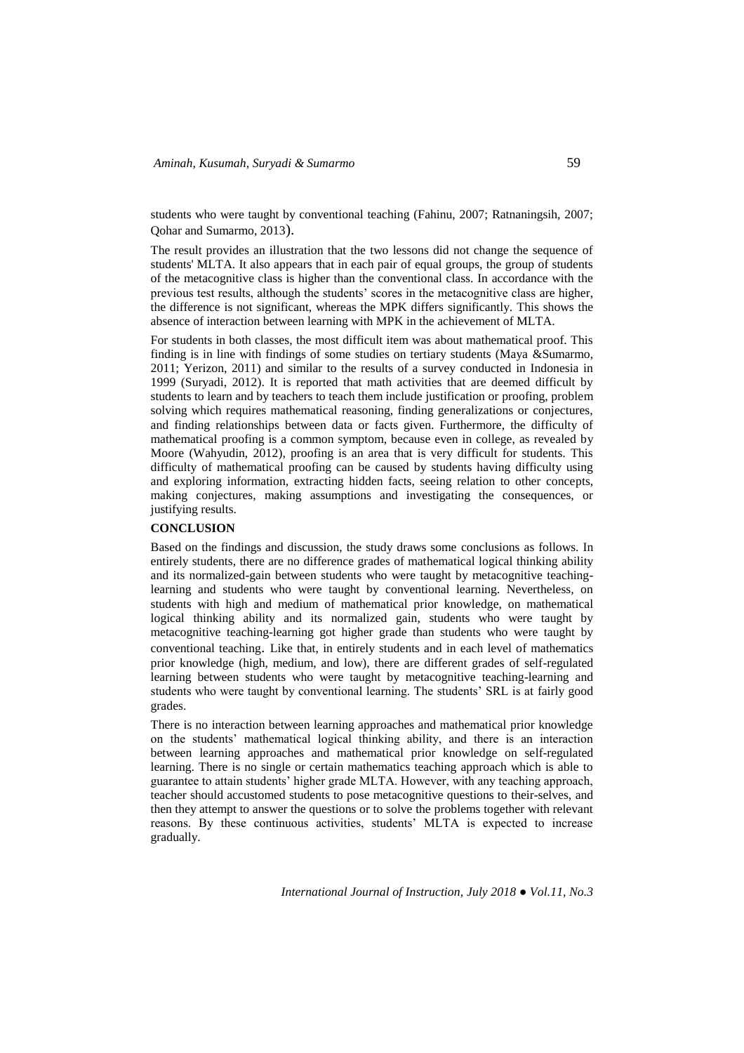students who were taught by conventional teaching (Fahinu, 2007; Ratnaningsih, 2007; Qohar and Sumarmo, 2013).

The result provides an illustration that the two lessons did not change the sequence of students' MLTA. It also appears that in each pair of equal groups, the group of students of the metacognitive class is higher than the conventional class. In accordance with the previous test results, although the students' scores in the metacognitive class are higher, the difference is not significant, whereas the MPK differs significantly. This shows the absence of interaction between learning with MPK in the achievement of MLTA.

For students in both classes, the most difficult item was about mathematical proof. This finding is in line with findings of some studies on tertiary students (Maya &Sumarmo, 2011; Yerizon, 2011) and similar to the results of a survey conducted in Indonesia in 1999 (Suryadi, 2012). It is reported that math activities that are deemed difficult by students to learn and by teachers to teach them include justification or proofing, problem solving which requires mathematical reasoning, finding generalizations or conjectures, and finding relationships between data or facts given. Furthermore, the difficulty of mathematical proofing is a common symptom, because even in college, as revealed by Moore (Wahyudin, 2012), proofing is an area that is very difficult for students. This difficulty of mathematical proofing can be caused by students having difficulty using and exploring information, extracting hidden facts, seeing relation to other concepts, making conjectures, making assumptions and investigating the consequences, or justifying results.

### **CONCLUSION**

Based on the findings and discussion, the study draws some conclusions as follows. In entirely students, there are no difference grades of mathematical logical thinking ability and its normalized-gain between students who were taught by metacognitive teachinglearning and students who were taught by conventional learning. Nevertheless, on students with high and medium of mathematical prior knowledge, on mathematical logical thinking ability and its normalized gain, students who were taught by metacognitive teaching-learning got higher grade than students who were taught by conventional teaching. Like that, in entirely students and in each level of mathematics prior knowledge (high, medium, and low), there are different grades of self-regulated learning between students who were taught by metacognitive teaching-learning and students who were taught by conventional learning. The students' SRL is at fairly good grades.

There is no interaction between learning approaches and mathematical prior knowledge on the students' mathematical logical thinking ability, and there is an interaction between learning approaches and mathematical prior knowledge on self-regulated learning. There is no single or certain mathematics teaching approach which is able to guarantee to attain students' higher grade MLTA. However, with any teaching approach, teacher should accustomed students to pose metacognitive questions to their-selves, and then they attempt to answer the questions or to solve the problems together with relevant reasons. By these continuous activities, students' MLTA is expected to increase gradually.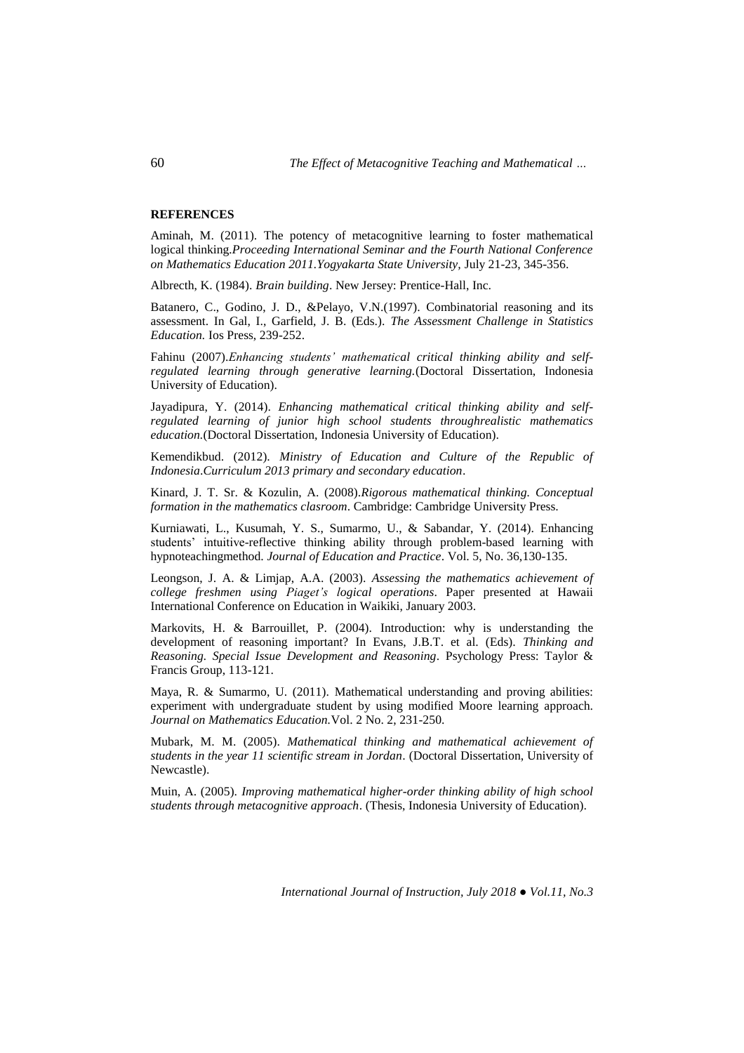60 *The Effect of Metacognitive Teaching and Mathematical …*

## **REFERENCES**

Aminah, M. (2011). The potency of metacognitive learning to foster mathematical logical thinking*.Proceeding International Seminar and the Fourth National Conference on Mathematics Education 2011.Yogyakarta State University,* July 21-23, 345-356.

Albrecth, K. (1984). *Brain building*. New Jersey: Prentice-Hall, Inc.

Batanero, C., Godino, J. D., &Pelayo, V.N.(1997). Combinatorial reasoning and its assessment. In Gal, I., Garfield, J. B. (Eds.). *The Assessment Challenge in Statistics Education.* Ios Press, 239-252.

Fahinu (2007).*Enhancing students' mathematical critical thinking ability and selfregulated learning through generative learning.*(Doctoral Dissertation, Indonesia University of Education).

Jayadipura, Y. (2014). *Enhancing mathematical critical thinking ability and selfregulated learning of junior high school students throughrealistic mathematics education.*(Doctoral Dissertation, Indonesia University of Education).

Kemendikbud. (2012). *Ministry of Education and Culture of the Republic of Indonesia*.*Curriculum 2013 primary and secondary education*.

Kinard, J. T. Sr. & Kozulin, A. (2008).*Rigorous mathematical thinking. Conceptual formation in the mathematics clasroom*. Cambridge: Cambridge University Press.

Kurniawati, L., Kusumah, Y. S., Sumarmo, U., & Sabandar, Y. (2014). Enhancing students' intuitive-reflective thinking ability through problem-based learning with hypnoteachingmethod. *Journal of Education and Practice*. Vol. 5, No. 36,130-135.

Leongson, J. A. & Limjap, A.A. (2003). *Assessing the mathematics achievement of college freshmen using Piaget's logical operations*. Paper presented at Hawaii International Conference on Education in Waikiki, January 2003.

Markovits, H. & Barrouillet, P. (2004). Introduction: why is understanding the development of reasoning important? In Evans, J.B.T. et al. (Eds). *Thinking and Reasoning. Special Issue Development and Reasoning*. Psychology Press: Taylor & Francis Group, 113-121.

Maya, R. & Sumarmo, U. (2011). Mathematical understanding and proving abilities: experiment with undergraduate student by using modified Moore learning approach. *Journal on Mathematics Education.*Vol. 2 No. 2, 231-250.

Mubark, M. M. (2005). *Mathematical thinking and mathematical achievement of students in the year 11 scientific stream in Jordan*. (Doctoral Dissertation, University of Newcastle).

Muin, A. (2005). *Improving mathematical higher-order thinking ability of high school students through metacognitive approach*. (Thesis, Indonesia University of Education).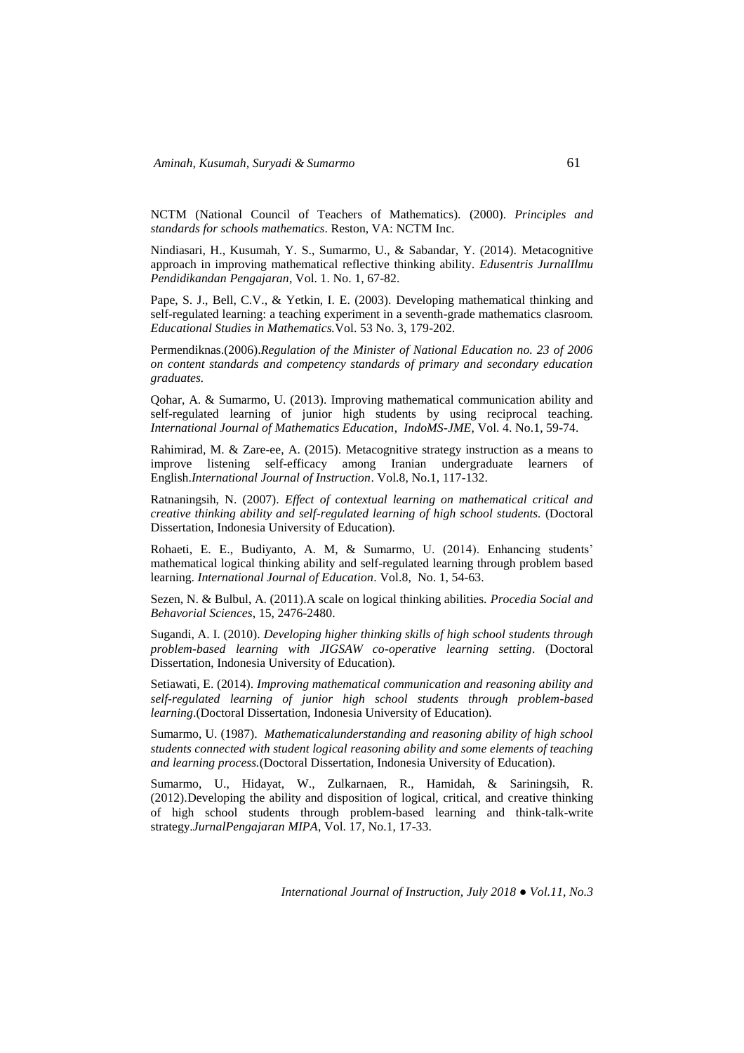NCTM (National Council of Teachers of Mathematics). (2000). *Principles and standards for schools mathematics*. Reston, VA: NCTM Inc.

Nindiasari, H., Kusumah, Y. S., Sumarmo, U., & Sabandar, Y. (2014). Metacognitive approach in improving mathematical reflective thinking ability. *Edusentris JurnalIlmu Pendidikandan Pengajaran*, Vol. 1. No. 1, 67-82.

Pape, S. J., Bell, C.V., & Yetkin, I. E. (2003). Developing mathematical thinking and self-regulated learning: a teaching experiment in a seventh-grade mathematics clasroom*. Educational Studies in Mathematics.*Vol. 53 No. 3, 179-202.

Permendiknas.(2006).*Regulation of the Minister of National Education no. 23 of 2006 on content standards and competency standards of primary and secondary education graduates.*

Qohar, A. & Sumarmo, U. (2013). Improving mathematical communication ability and self-regulated learning of junior high students by using reciprocal teaching. *International Journal of Mathematics Education*, *IndoMS-JME*, Vol. 4. No.1, 59-74.

Rahimirad, M. & Zare-ee, A. (2015). Metacognitive strategy instruction as a means to improve listening self-efficacy among Iranian undergraduate learners of English.*International Journal of Instruction*. Vol.8, No.1, 117-132.

Ratnaningsih, N. (2007). *Effect of contextual learning on mathematical critical and creative thinking ability and self-regulated learning of high school students.* (Doctoral Dissertation, Indonesia University of Education).

Rohaeti, E. E., Budiyanto, A. M, & Sumarmo, U. (2014). Enhancing students' mathematical logical thinking ability and self-regulated learning through problem based learning. *International Journal of Education*. Vol.8, No. 1, 54-63.

Sezen, N. & Bulbul, A. (2011).A scale on logical thinking abilities. *Procedia Social and Behavorial Sciences*, 15, 2476-2480.

Sugandi, A. I. (2010). *Developing higher thinking skills of high school students through problem-based learning with JIGSAW co-operative learning setting*. (Doctoral Dissertation, Indonesia University of Education).

Setiawati, E. (2014). *Improving mathematical communication and reasoning ability and self-regulated learning of junior high school students through problem-based learning*.(Doctoral Dissertation, Indonesia University of Education).

Sumarmo, U. (1987). *Mathematicalunderstanding and reasoning ability of high school students connected with student logical reasoning ability and some elements of teaching and learning process.*(Doctoral Dissertation, Indonesia University of Education).

Sumarmo, U., Hidayat, W., Zulkarnaen, R., Hamidah, & Sariningsih, R. (2012).Developing the ability and disposition of logical, critical, and creative thinking of high school students through problem-based learning and think-talk-write strategy.*JurnalPengajaran MIPA*, Vol. 17, No.1, 17-33.